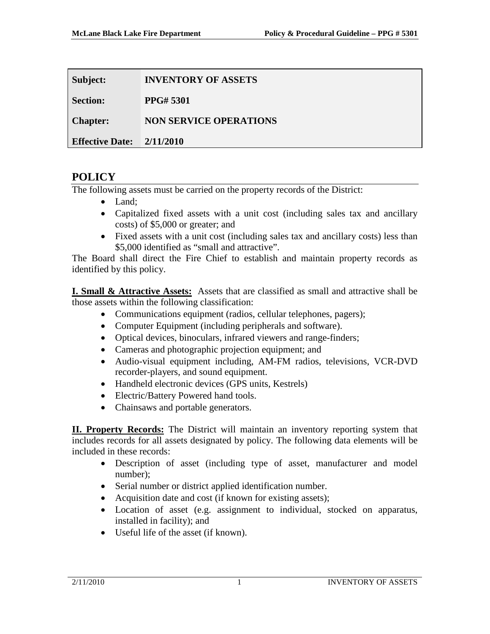| Subject:               | <b>INVENTORY OF ASSETS</b>    |
|------------------------|-------------------------------|
| <b>Section:</b>        | <b>PPG#5301</b>               |
| <b>Chapter:</b>        | <b>NON SERVICE OPERATIONS</b> |
| <b>Effective Date:</b> | 2/11/2010                     |

## **POLICY**

The following assets must be carried on the property records of the District:

- Land:
- Capitalized fixed assets with a unit cost (including sales tax and ancillary costs) of \$5,000 or greater; and
- Fixed assets with a unit cost (including sales tax and ancillary costs) less than \$5,000 identified as "small and attractive".

The Board shall direct the Fire Chief to establish and maintain property records as identified by this policy.

**I. Small & Attractive Assets:** Assets that are classified as small and attractive shall be those assets within the following classification:

- Communications equipment (radios, cellular telephones, pagers);
- Computer Equipment (including peripherals and software).
- Optical devices, binoculars, infrared viewers and range-finders;
- Cameras and photographic projection equipment; and
- Audio-visual equipment including, AM-FM radios, televisions, VCR-DVD recorder-players, and sound equipment.
- Handheld electronic devices (GPS units, Kestrels)
- Electric/Battery Powered hand tools.
- Chainsaws and portable generators.

**II. Property Records:** The District will maintain an inventory reporting system that includes records for all assets designated by policy. The following data elements will be included in these records:

- Description of asset (including type of asset, manufacturer and model number);
- Serial number or district applied identification number.
- Acquisition date and cost (if known for existing assets);
- Location of asset (e.g. assignment to individual, stocked on apparatus, installed in facility); and
- Useful life of the asset (if known).